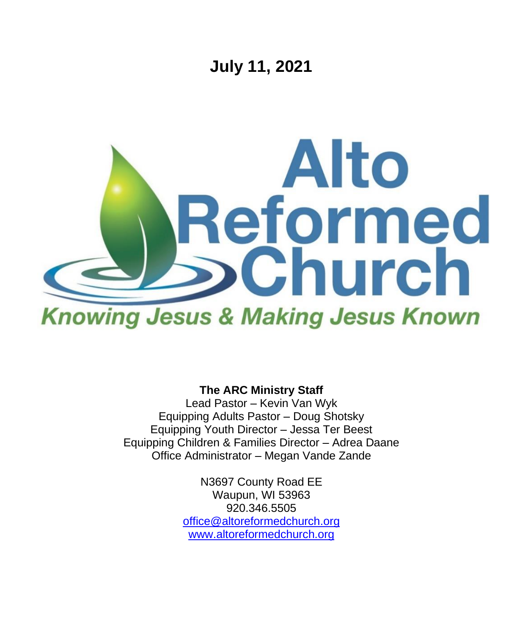

**The ARC Ministry Staff**

Lead Pastor – Kevin Van Wyk Equipping Adults Pastor – Doug Shotsky Equipping Youth Director – Jessa Ter Beest Equipping Children & Families Director – Adrea Daane Office Administrator – Megan Vande Zande

> N3697 County Road EE Waupun, WI 53963 920.346.5505 [office@altoreformedchurch.org](mailto:office@altoreformedchurch.org) [www.altoreformedchurch.org](http://www.altoreformedchurch.org/)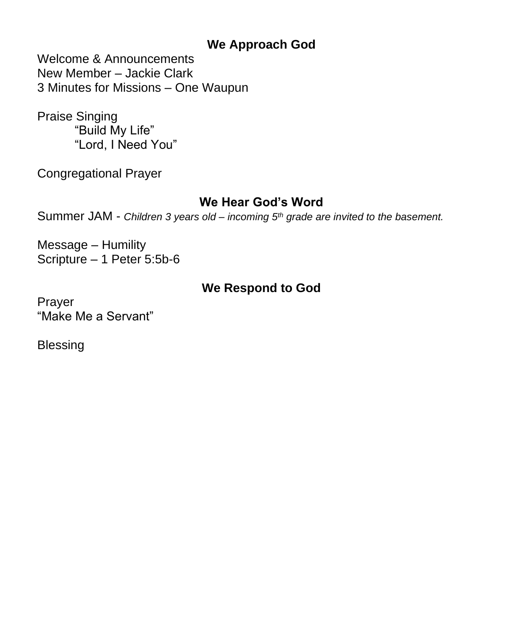### **We Approach God**

Welcome & Announcements New Member – Jackie Clark 3 Minutes for Missions – One Waupun

Praise Singing "Build My Life" "Lord, I Need You"

Congregational Prayer

### **We Hear God's Word**

Summer JAM - *Children 3 years old – incoming 5th grade are invited to the basement.*

Message – Humility Scripture – 1 Peter 5:5b-6

### **We Respond to God**

Prayer "Make Me a Servant"

Blessing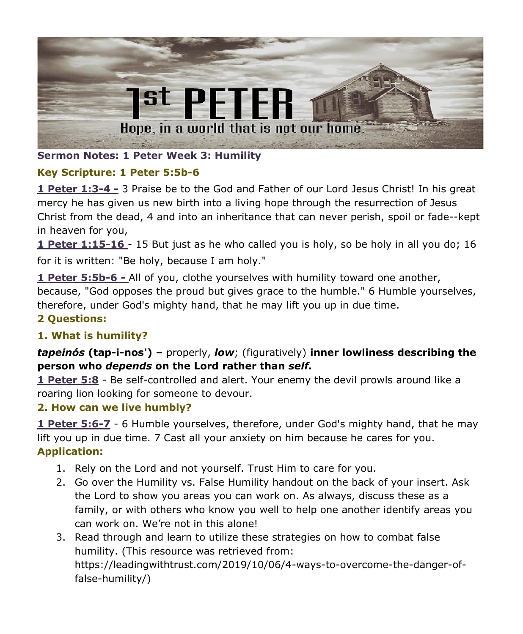

#### **Sermon Notes: 1 Peter Week 3: Humility**

#### **Key Scripture: 1 Peter 5:5b-6**

**1 Peter 1:3-4 -** 3 Praise be to the God and Father of our Lord Jesus Christ! In his great mercy he has given us new birth into a living hope through the resurrection of Jesus Christ from the dead, 4 and into an inheritance that can never perish, spoil or fade--kept in heaven for you,

**1 Peter 1:15-16** - 15 But just as he who called you is holy, so be holy in all you do; 16 for it is written: "Be holy, because I am holy."

**1 Peter 5:5b-6** *-* All of you, clothe yourselves with humility toward one another, because, "God opposes the proud but gives grace to the humble." 6 Humble yourselves, therefore, under God's mighty hand, that he may lift you up in due time.

# **2 Questions:**

#### **1. What is humility?**

#### *tapeinós* **(tap-i-nos') –** properly, *low*; (figuratively) **inner lowliness describing the person who** *depends* **on the Lord rather than** *self***.**

**1 Peter 5:8** - Be self-controlled and alert. Your enemy the devil prowls around like a roaring lion looking for someone to devour.

#### **2. How can we live humbly?**

**1 Peter 5:6-7** - 6 Humble yourselves, therefore, under God's mighty hand, that he may lift you up in due time. 7 Cast all your anxiety on him because he cares for you. **Application:**

- 1. Rely on the Lord and not yourself. Trust Him to care for you.
- 2. Go over the Humility vs. False Humility handout on the back of your insert. Ask the Lord to show you areas you can work on. As always, discuss these as a family, or with others who know you well to help one another identify areas you can work on. We're not in this alone!
- 3. Read through and learn to utilize these strategies on how to combat false humility. (This resource was retrieved from: https://leadingwithtrust.com/2019/10/06/4-ways-to-overcome-the-danger-offalse-humility/)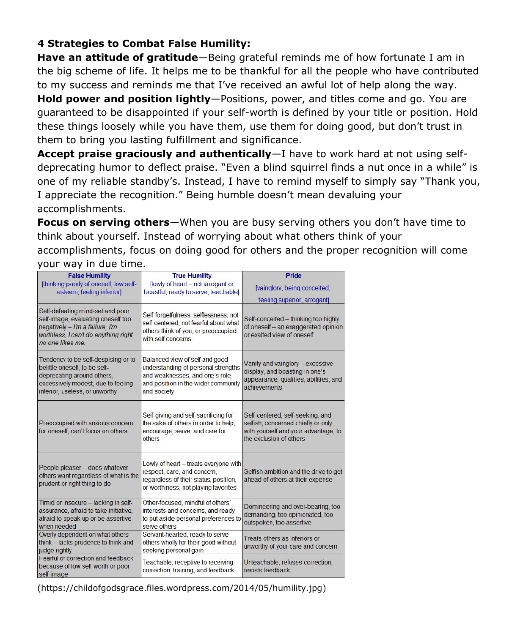#### **4 Strategies to Combat False Humility:**

**Have an attitude of gratitude**—Being grateful reminds me of how fortunate I am in the big scheme of life. It helps me to be thankful for all the people who have contributed to my success and reminds me that I've received an awful lot of help along the way.

**Hold power and position lightly**—Positions, power, and titles come and go. You are guaranteed to be disappointed if your self-worth is defined by your title or position. Hold these things loosely while you have them, use them for doing good, but don't trust in them to bring you lasting fulfillment and significance.

**Accept praise graciously and authentically**—I have to work hard at not using selfdeprecating humor to deflect praise. "Even a blind squirrel finds a nut once in a while" is one of my reliable standby's. Instead, I have to remind myself to simply say "Thank you, I appreciate the recognition." Being humble doesn't mean devaluing your accomplishments.

**Focus on serving others**—When you are busy serving others you don't have time to think about yourself. Instead of worrying about what others think of your accomplishments, focus on doing good for others and the proper recognition will come

your way in due time.

| <b>False Humility</b>                                                                                                                                                      | <b>True Humility</b>                                                                                                                                          | Pride                                                                                                                                     |
|----------------------------------------------------------------------------------------------------------------------------------------------------------------------------|---------------------------------------------------------------------------------------------------------------------------------------------------------------|-------------------------------------------------------------------------------------------------------------------------------------------|
| [thinking poorly of oneself, low self-<br>esteem, feeling inferior]                                                                                                        | flowly of heart - not arrogant or<br>boastful, ready to serve, teachable]                                                                                     | [vainglory, being conceited,                                                                                                              |
|                                                                                                                                                                            |                                                                                                                                                               | feeling superior, arrogant]                                                                                                               |
| Self-defeating mind-set and poor<br>self-image, evaluating oneself too<br>negatively - I'm a failure, I'm<br>worthless, I can't do anything right,<br>no one likes me.     | Self-forgetfulness, selflessness, not<br>self-centered, not fearful about what<br>others think of you, or preoccupied<br>with self concerns                   | Self-conceited - thinking too highly<br>of oneself - an exaggerated opinion<br>or exalted view of oneself                                 |
| Tendency to be self-despising or to<br>belittle oneself, to be self-<br>deprecating around others.<br>excessively modest, due to feeling<br>inferior, useless, or unworthy | Balanced view of self and good<br>understanding of personal strengths<br>and weaknesses, and one's role<br>and position in the wider community<br>and society | Vanity and vainglory - excessive<br>display, and boasting in one's<br>appearance, qualities, abilities, and<br>achievements               |
| Preoccupied with anxious concern<br>for oneself, can't focus on others                                                                                                     | Self-giving and self-sacrificing for<br>the sake of others in order to help.<br>encourage, serve, and care for<br>others                                      | Self-centered, self-seeking, and<br>selfish, concerned chiefly or only<br>with yourself and your advantage, to<br>the exclusion of others |
| People pleaser - does whatever<br>others want regardless of what is the<br>prudent or right thing to do                                                                    | Lowly of heart - treats everyone with<br>respect, care, and concern,<br>regardless of their status, position,<br>or worthiness, not playing favorites         | Selfish ambition and the drive to get<br>ahead of others at their expense                                                                 |
| Timid or insecure - lacking in self-<br>assurance, afraid to take initiative,<br>afraid to speak up or be assertive<br>when needed                                         | Other-focused, mindful of others'<br>interests and concerns, and ready<br>to put aside personal preferences to<br>serve others                                | Domineering and over-bearing, too<br>demanding, too opinionated, too<br>outspoken, too assertive                                          |
| Overly dependent on what others<br>think - lacks prudence to think and<br>judge rightly                                                                                    | Servant-hearted, ready to serve<br>others wholly for their good without<br>seeking personal gain                                                              | Treats others as inferiors or<br>unworthy of your care and concern                                                                        |
| Fearful of correction and feedback<br>because of low self-worth or poor<br>self-image                                                                                      | Teachable, receptive to receiving<br>correction, training, and feedback                                                                                       | Unteachable, refuses correction,<br>resists feedback                                                                                      |

(https://childofgodsgrace.files.wordpress.com/2014/05/humility.jpg)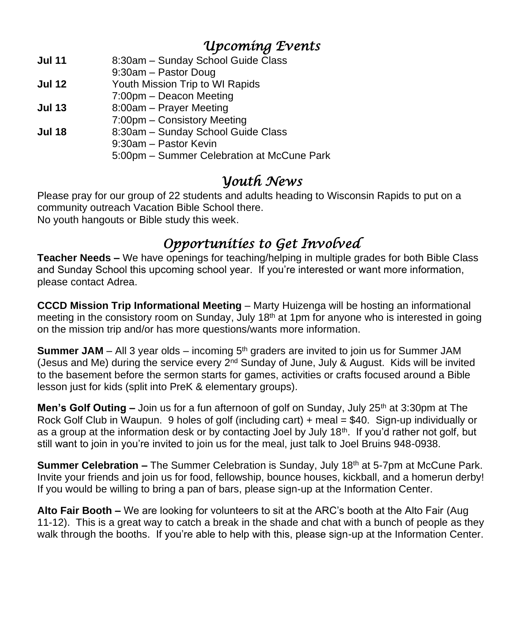### *Upcoming Events*

- **Jul 11** 8:30am Sunday School Guide Class
- 9:30am Pastor Doug
- **Jul 12** Youth Mission Trip to WI Rapids
- 7:00pm Deacon Meeting
- **Jul 13** 8:00am Prayer Meeting
- 7:00pm Consistory Meeting
- **Jul 18** 8:30am Sunday School Guide Class
	- 9:30am Pastor Kevin
		- 5:00pm Summer Celebration at McCune Park

### *Youth News*

Please pray for our group of 22 students and adults heading to Wisconsin Rapids to put on a community outreach Vacation Bible School there. No youth hangouts or Bible study this week.

# *Opportunities to Get Involved*

**Teacher Needs –** We have openings for teaching/helping in multiple grades for both Bible Class and Sunday School this upcoming school year. If you're interested or want more information, please contact Adrea.

**CCCD Mission Trip Informational Meeting** – Marty Huizenga will be hosting an informational meeting in the consistory room on Sunday, July 18<sup>th</sup> at 1pm for anyone who is interested in going on the mission trip and/or has more questions/wants more information.

**Summer JAM** – All 3 year olds – incoming  $5<sup>th</sup>$  graders are invited to join us for Summer JAM (Jesus and Me) during the service every  $2<sup>nd</sup>$  Sunday of June, July & August. Kids will be invited to the basement before the sermon starts for games, activities or crafts focused around a Bible lesson just for kids (split into PreK & elementary groups).

**Men's Golf Outing –** Join us for a fun afternoon of golf on Sunday, July 25<sup>th</sup> at 3:30pm at The Rock Golf Club in Waupun. 9 holes of golf (including cart) + meal = \$40. Sign-up individually or as a group at the information desk or by contacting Joel by July 18<sup>th</sup>. If you'd rather not golf, but still want to join in you're invited to join us for the meal, just talk to Joel Bruins 948-0938.

**Summer Celebration –** The Summer Celebration is Sunday, July 18<sup>th</sup> at 5-7pm at McCune Park. Invite your friends and join us for food, fellowship, bounce houses, kickball, and a homerun derby! If you would be willing to bring a pan of bars, please sign-up at the Information Center.

**Alto Fair Booth –** We are looking for volunteers to sit at the ARC's booth at the Alto Fair (Aug 11-12). This is a great way to catch a break in the shade and chat with a bunch of people as they walk through the booths. If you're able to help with this, please sign-up at the Information Center.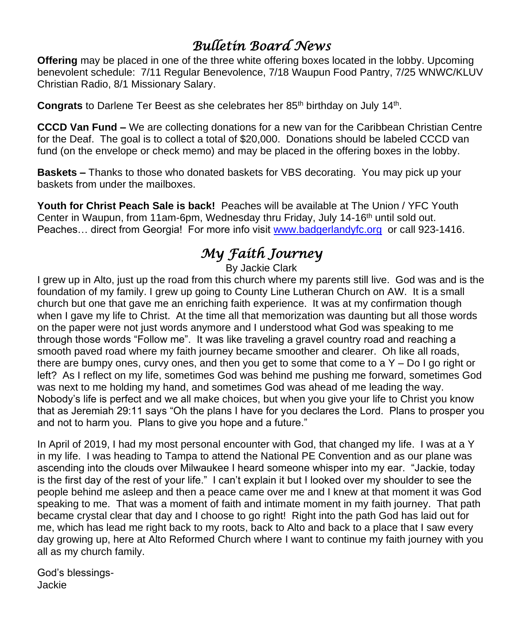## *Bulletin Board News*

**Offering** may be placed in one of the three white offering boxes located in the lobby. Upcoming benevolent schedule: 7/11 Regular Benevolence, 7/18 Waupun Food Pantry, 7/25 WNWC/KLUV Christian Radio, 8/1 Missionary Salary.

Congrats to Darlene Ter Beest as she celebrates her 85<sup>th</sup> birthday on July 14<sup>th</sup>.

**CCCD Van Fund –** We are collecting donations for a new van for the Caribbean Christian Centre for the Deaf. The goal is to collect a total of \$20,000. Donations should be labeled CCCD van fund (on the envelope or check memo) and may be placed in the offering boxes in the lobby.

**Baskets –** Thanks to those who donated baskets for VBS decorating. You may pick up your baskets from under the mailboxes.

**Youth for Christ Peach Sale is back!** Peaches will be available at The Union / YFC Youth Center in Waupun, from 11am-6pm, Wednesday thru Friday, July 14-16<sup>th</sup> until sold out. Peaches... direct from Georgia! For more info visit [www.badgerlandyfc.org](http://www.badgerlandyfc.org/) or call 923-1416.

# *My Faith Journey*

By Jackie Clark

I grew up in Alto, just up the road from this church where my parents still live. God was and is the foundation of my family. I grew up going to County Line Lutheran Church on AW. It is a small church but one that gave me an enriching faith experience. It was at my confirmation though when I gave my life to Christ. At the time all that memorization was daunting but all those words on the paper were not just words anymore and I understood what God was speaking to me through those words "Follow me". It was like traveling a gravel country road and reaching a smooth paved road where my faith journey became smoother and clearer. Oh like all roads, there are bumpy ones, curvy ones, and then you get to some that come to a  $Y - Do I$  go right or left? As I reflect on my life, sometimes God was behind me pushing me forward, sometimes God was next to me holding my hand, and sometimes God was ahead of me leading the way. Nobody's life is perfect and we all make choices, but when you give your life to Christ you know that as Jeremiah 29:11 says "Oh the plans I have for you declares the Lord. Plans to prosper you and not to harm you. Plans to give you hope and a future."

In April of 2019, I had my most personal encounter with God, that changed my life. I was at a Y in my life. I was heading to Tampa to attend the National PE Convention and as our plane was ascending into the clouds over Milwaukee I heard someone whisper into my ear. "Jackie, today is the first day of the rest of your life." I can't explain it but I looked over my shoulder to see the people behind me asleep and then a peace came over me and I knew at that moment it was God speaking to me. That was a moment of faith and intimate moment in my faith journey. That path became crystal clear that day and I choose to go right! Right into the path God has laid out for me, which has lead me right back to my roots, back to Alto and back to a place that I saw every day growing up, here at Alto Reformed Church where I want to continue my faith journey with you all as my church family.

God's blessings-Jackie